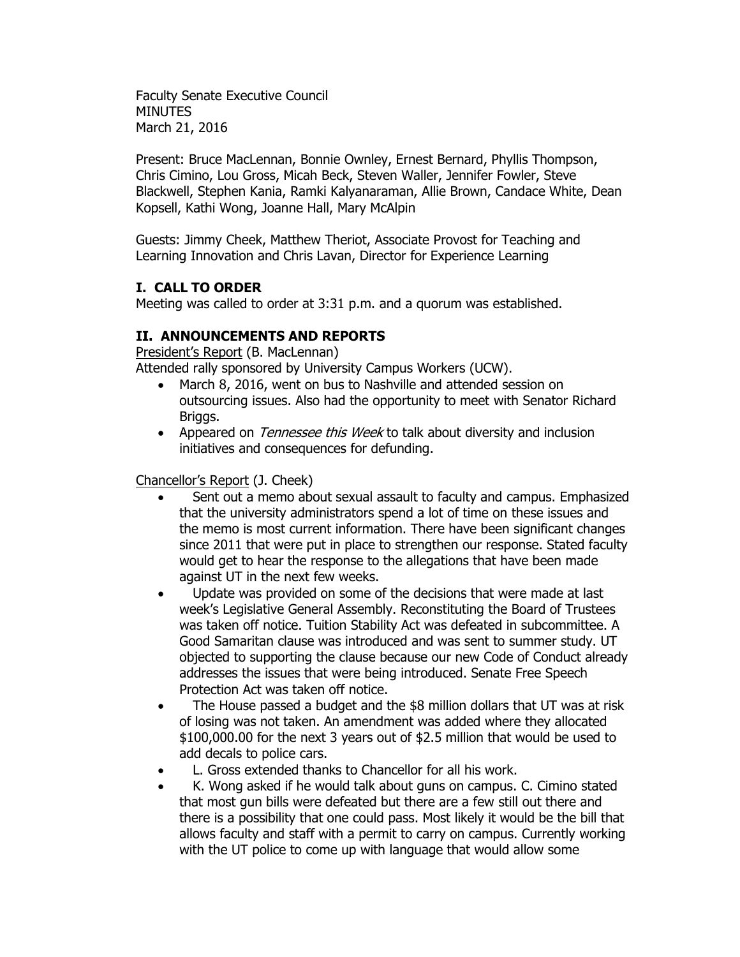Faculty Senate Executive Council **MINUTES** March 21, 2016

Present: Bruce MacLennan, Bonnie Ownley, Ernest Bernard, Phyllis Thompson, Chris Cimino, Lou Gross, Micah Beck, Steven Waller, Jennifer Fowler, Steve Blackwell, Stephen Kania, Ramki Kalyanaraman, Allie Brown, Candace White, Dean Kopsell, Kathi Wong, Joanne Hall, Mary McAlpin

Guests: Jimmy Cheek, Matthew Theriot, Associate Provost for Teaching and Learning Innovation and Chris Lavan, Director for Experience Learning

## **I. CALL TO ORDER**

Meeting was called to order at 3:31 p.m. and a quorum was established.

# **II. ANNOUNCEMENTS AND REPORTS**

President's Report (B. MacLennan)

Attended rally sponsored by University Campus Workers (UCW).

- March 8, 2016, went on bus to Nashville and attended session on outsourcing issues. Also had the opportunity to meet with Senator Richard Briggs.
- Appeared on *Tennessee this Week* to talk about diversity and inclusion initiatives and consequences for defunding.

Chancellor's Report (J. Cheek)

- Sent out a memo about sexual assault to faculty and campus. Emphasized that the university administrators spend a lot of time on these issues and the memo is most current information. There have been significant changes since 2011 that were put in place to strengthen our response. Stated faculty would get to hear the response to the allegations that have been made against UT in the next few weeks.
- Update was provided on some of the decisions that were made at last week's Legislative General Assembly. Reconstituting the Board of Trustees was taken off notice. Tuition Stability Act was defeated in subcommittee. A Good Samaritan clause was introduced and was sent to summer study. UT objected to supporting the clause because our new Code of Conduct already addresses the issues that were being introduced. Senate Free Speech Protection Act was taken off notice.
- The House passed a budget and the \$8 million dollars that UT was at risk of losing was not taken. An amendment was added where they allocated \$100,000.00 for the next 3 years out of \$2.5 million that would be used to add decals to police cars.
- L. Gross extended thanks to Chancellor for all his work.
- K. Wong asked if he would talk about guns on campus. C. Cimino stated that most gun bills were defeated but there are a few still out there and there is a possibility that one could pass. Most likely it would be the bill that allows faculty and staff with a permit to carry on campus. Currently working with the UT police to come up with language that would allow some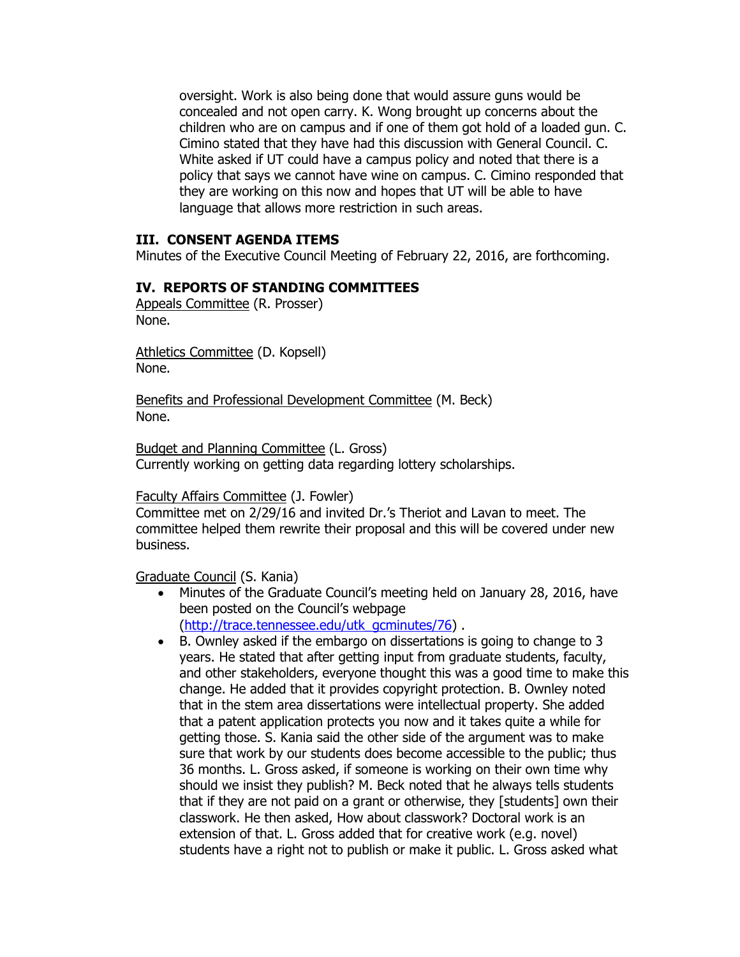oversight. Work is also being done that would assure guns would be concealed and not open carry. K. Wong brought up concerns about the children who are on campus and if one of them got hold of a loaded gun. C. Cimino stated that they have had this discussion with General Council. C. White asked if UT could have a campus policy and noted that there is a policy that says we cannot have wine on campus. C. Cimino responded that they are working on this now and hopes that UT will be able to have language that allows more restriction in such areas.

### **III. CONSENT AGENDA ITEMS**

Minutes of the Executive Council Meeting of February 22, 2016, are forthcoming.

### **IV. REPORTS OF STANDING COMMITTEES**

Appeals Committee (R. Prosser) None.

Athletics Committee (D. Kopsell) None.

Benefits and Professional Development Committee (M. Beck) None.

Budget and Planning Committee (L. Gross) Currently working on getting data regarding lottery scholarships.

#### Faculty Affairs Committee (J. Fowler)

Committee met on 2/29/16 and invited Dr.'s Theriot and Lavan to meet. The committee helped them rewrite their proposal and this will be covered under new business.

Graduate Council (S. Kania)

- Minutes of the Graduate Council's meeting held on January 28, 2016, have been posted on the Council's webpage [\(http://trace.tennessee.edu/utk\\_gcminutes/76\)](http://trace.tennessee.edu/utk_gcminutes/76) .
- B. Ownley asked if the embargo on dissertations is going to change to 3 years. He stated that after getting input from graduate students, faculty, and other stakeholders, everyone thought this was a good time to make this change. He added that it provides copyright protection. B. Ownley noted that in the stem area dissertations were intellectual property. She added that a patent application protects you now and it takes quite a while for getting those. S. Kania said the other side of the argument was to make sure that work by our students does become accessible to the public; thus 36 months. L. Gross asked, if someone is working on their own time why should we insist they publish? M. Beck noted that he always tells students that if they are not paid on a grant or otherwise, they [students] own their classwork. He then asked, How about classwork? Doctoral work is an extension of that. L. Gross added that for creative work (e.g. novel) students have a right not to publish or make it public. L. Gross asked what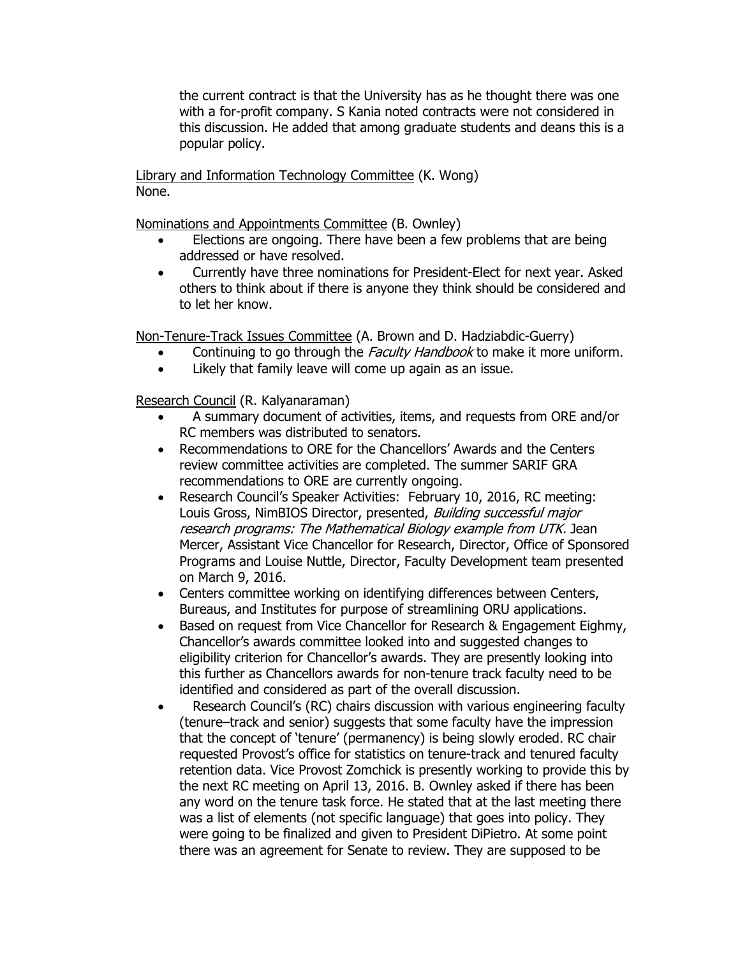the current contract is that the University has as he thought there was one with a for-profit company. S Kania noted contracts were not considered in this discussion. He added that among graduate students and deans this is a popular policy.

Library and Information Technology Committee (K. Wong) None.

Nominations and Appointments Committee (B. Ownley)

- Elections are ongoing. There have been a few problems that are being addressed or have resolved.
- Currently have three nominations for President-Elect for next year. Asked others to think about if there is anyone they think should be considered and to let her know.

Non-Tenure-Track Issues Committee (A. Brown and D. Hadziabdic-Guerry)

- Continuing to go through the Faculty Handbook to make it more uniform.
- Likely that family leave will come up again as an issue.

Research Council (R. Kalyanaraman)

- A summary document of activities, items, and requests from ORE and/or RC members was distributed to senators.
- Recommendations to ORE for the Chancellors' Awards and the Centers review committee activities are completed. The summer SARIF GRA recommendations to ORE are currently ongoing.
- Research Council's Speaker Activities: February 10, 2016, RC meeting: Louis Gross, NimBIOS Director, presented, Building successful major research programs: The Mathematical Biology example from UTK. Jean Mercer, Assistant Vice Chancellor for Research, Director, Office of Sponsored Programs and Louise Nuttle, Director, Faculty Development team presented on March 9, 2016.
- Centers committee working on identifying differences between Centers, Bureaus, and Institutes for purpose of streamlining ORU applications.
- Based on request from Vice Chancellor for Research & Engagement Eighmy, Chancellor's awards committee looked into and suggested changes to eligibility criterion for Chancellor's awards. They are presently looking into this further as Chancellors awards for non-tenure track faculty need to be identified and considered as part of the overall discussion.
- Research Council's (RC) chairs discussion with various engineering faculty (tenure–track and senior) suggests that some faculty have the impression that the concept of 'tenure' (permanency) is being slowly eroded. RC chair requested Provost's office for statistics on tenure-track and tenured faculty retention data. Vice Provost Zomchick is presently working to provide this by the next RC meeting on April 13, 2016. B. Ownley asked if there has been any word on the tenure task force. He stated that at the last meeting there was a list of elements (not specific language) that goes into policy. They were going to be finalized and given to President DiPietro. At some point there was an agreement for Senate to review. They are supposed to be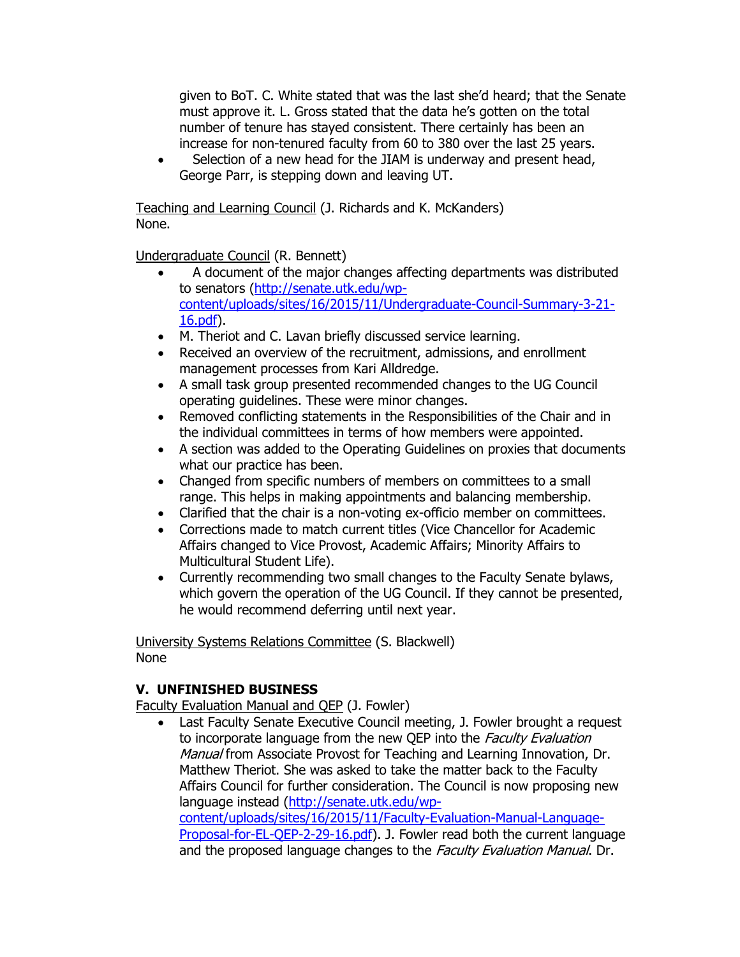given to BoT. C. White stated that was the last she'd heard; that the Senate must approve it. L. Gross stated that the data he's gotten on the total number of tenure has stayed consistent. There certainly has been an increase for non-tenured faculty from 60 to 380 over the last 25 years.

• Selection of a new head for the JIAM is underway and present head, George Parr, is stepping down and leaving UT.

Teaching and Learning Council (J. Richards and K. McKanders) None.

Undergraduate Council (R. Bennett)

- A document of the major changes affecting departments was distributed to senators [\(http://senate.utk.edu/wp](http://senate.utk.edu/wp-content/uploads/sites/16/2015/11/Undergraduate-Council-Summary-3-21-16.pdf)[content/uploads/sites/16/2015/11/Undergraduate-Council-Summary-3-21-](http://senate.utk.edu/wp-content/uploads/sites/16/2015/11/Undergraduate-Council-Summary-3-21-16.pdf) [16.pdf\)](http://senate.utk.edu/wp-content/uploads/sites/16/2015/11/Undergraduate-Council-Summary-3-21-16.pdf).
- M. Theriot and C. Lavan briefly discussed service learning.
- Received an overview of the recruitment, admissions, and enrollment management processes from Kari Alldredge.
- A small task group presented recommended changes to the UG Council operating guidelines. These were minor changes.
- Removed conflicting statements in the Responsibilities of the Chair and in the individual committees in terms of how members were appointed.
- A section was added to the Operating Guidelines on proxies that documents what our practice has been.
- Changed from specific numbers of members on committees to a small range. This helps in making appointments and balancing membership.
- Clarified that the chair is a non-voting ex-officio member on committees.
- Corrections made to match current titles (Vice Chancellor for Academic Affairs changed to Vice Provost, Academic Affairs; Minority Affairs to Multicultural Student Life).
- Currently recommending two small changes to the Faculty Senate bylaws, which govern the operation of the UG Council. If they cannot be presented, he would recommend deferring until next year.

University Systems Relations Committee (S. Blackwell) None

## **V. UNFINISHED BUSINESS**

Faculty Evaluation Manual and QEP (J. Fowler)

• Last Faculty Senate Executive Council meeting, J. Fowler brought a request to incorporate language from the new QEP into the Faculty Evaluation Manual from Associate Provost for Teaching and Learning Innovation, Dr. Matthew Theriot. She was asked to take the matter back to the Faculty Affairs Council for further consideration. The Council is now proposing new language instead [\(http://senate.utk.edu/wp](http://senate.utk.edu/wp-content/uploads/sites/16/2015/11/Faculty-Evaluation-Manual-Language-Proposal-for-EL-QEP-2-29-16.pdf)[content/uploads/sites/16/2015/11/Faculty-Evaluation-Manual-Language-](http://senate.utk.edu/wp-content/uploads/sites/16/2015/11/Faculty-Evaluation-Manual-Language-Proposal-for-EL-QEP-2-29-16.pdf)[Proposal-for-EL-QEP-2-29-16.pdf\)](http://senate.utk.edu/wp-content/uploads/sites/16/2015/11/Faculty-Evaluation-Manual-Language-Proposal-for-EL-QEP-2-29-16.pdf). J. Fowler read both the current language and the proposed language changes to the Faculty Evaluation Manual. Dr.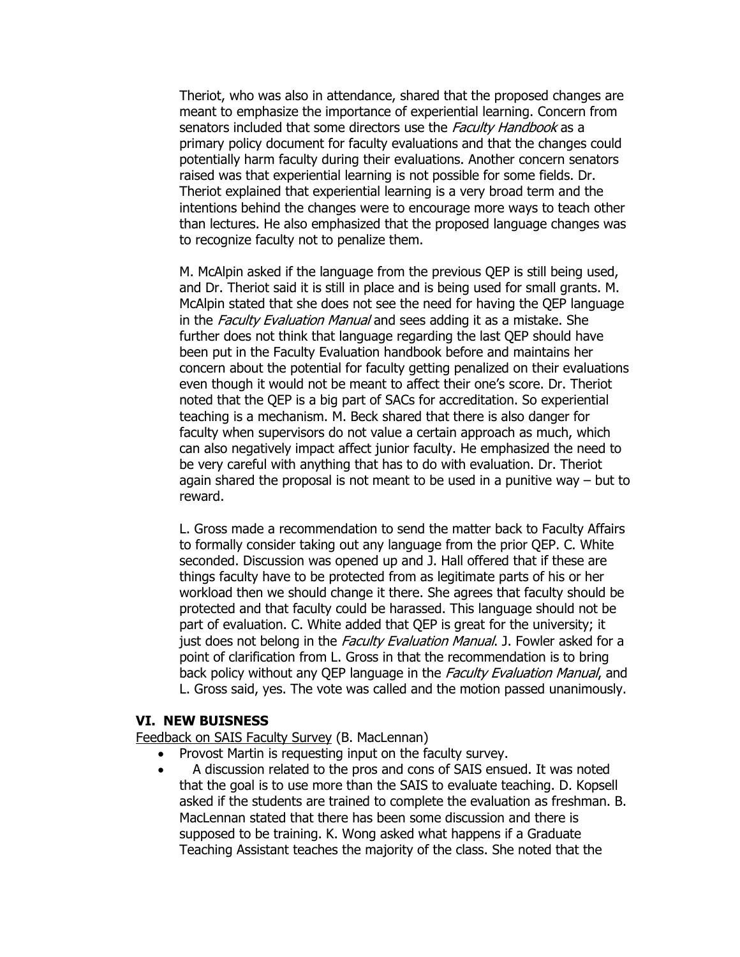Theriot, who was also in attendance, shared that the proposed changes are meant to emphasize the importance of experiential learning. Concern from senators included that some directors use the *Faculty Handbook* as a primary policy document for faculty evaluations and that the changes could potentially harm faculty during their evaluations. Another concern senators raised was that experiential learning is not possible for some fields. Dr. Theriot explained that experiential learning is a very broad term and the intentions behind the changes were to encourage more ways to teach other than lectures. He also emphasized that the proposed language changes was to recognize faculty not to penalize them.

M. McAlpin asked if the language from the previous QEP is still being used, and Dr. Theriot said it is still in place and is being used for small grants. M. McAlpin stated that she does not see the need for having the QEP language in the Faculty Evaluation Manual and sees adding it as a mistake. She further does not think that language regarding the last QEP should have been put in the Faculty Evaluation handbook before and maintains her concern about the potential for faculty getting penalized on their evaluations even though it would not be meant to affect their one's score. Dr. Theriot noted that the QEP is a big part of SACs for accreditation. So experiential teaching is a mechanism. M. Beck shared that there is also danger for faculty when supervisors do not value a certain approach as much, which can also negatively impact affect junior faculty. He emphasized the need to be very careful with anything that has to do with evaluation. Dr. Theriot again shared the proposal is not meant to be used in a punitive way – but to reward.

L. Gross made a recommendation to send the matter back to Faculty Affairs to formally consider taking out any language from the prior QEP. C. White seconded. Discussion was opened up and J. Hall offered that if these are things faculty have to be protected from as legitimate parts of his or her workload then we should change it there. She agrees that faculty should be protected and that faculty could be harassed. This language should not be part of evaluation. C. White added that QEP is great for the university; it just does not belong in the *Faculty Evaluation Manual*. J. Fowler asked for a point of clarification from L. Gross in that the recommendation is to bring back policy without any QEP language in the Faculty Evaluation Manual, and L. Gross said, yes. The vote was called and the motion passed unanimously.

#### **VI. NEW BUISNESS**

Feedback on SAIS Faculty Survey (B. MacLennan)

- Provost Martin is requesting input on the faculty survey.
- A discussion related to the pros and cons of SAIS ensued. It was noted that the goal is to use more than the SAIS to evaluate teaching. D. Kopsell asked if the students are trained to complete the evaluation as freshman. B. MacLennan stated that there has been some discussion and there is supposed to be training. K. Wong asked what happens if a Graduate Teaching Assistant teaches the majority of the class. She noted that the